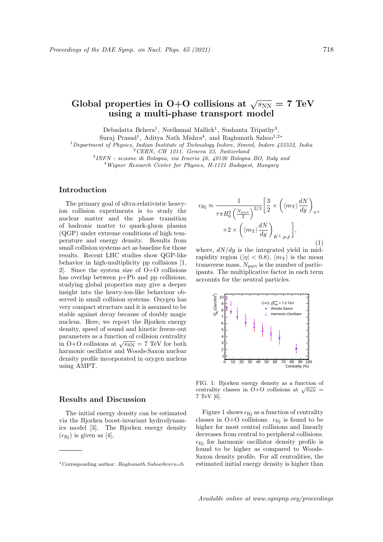# Global properties in O+O collisions at  $\sqrt{s_{\rm NN}} = 7$  TeV using a multi-phase transport model

Debadatta Behera<sup>1</sup>, Neelkamal Mallick<sup>1</sup>, Sushanta Tripathy<sup>3</sup>,

Suraj Prasad<sup>1</sup>, Aditya Nath Mishra<sup>4</sup>, and Raghunath Sahoo<sup>1,2</sup>\*

 $1$  Department of Physics, Indian Institute of Technology Indore, Simrol, Indore 453552, India

<sup>2</sup>CERN, CH 1211, Geneva 23, Switzerland

3 INFN - sezione di Bologna, via Irnerio 46, 40126 Bologna BO, Italy and

<sup>4</sup>Wigner Research Center for Physics, H-1121 Budapest, Hungary

## Introduction

The primary goal of ultra-relativistic heavyion collision experiments is to study the nuclear matter and the phase transition of hadronic matter to quark-gluon plasma (QGP) under extreme conditions of high temperature and energy density. Results from small collision systems act as baseline for those results. Recent LHC studies show QGP-like behavior in high-multiplicity pp collisions [1, 2]. Since the system size of O+O collisions has overlap between p+Pb and pp collisions, studying global properties may give a deeper insight into the heavy-ion-like behaviour observed in small collision systems. Oxygen has very compact structure and it is assumed to be stable against decay because of doubly magic nucleus. Here, we report the Bjorken energy density, speed of sound and kinetic freeze-out parameters as a function of collision centrality parameters as a function of comsion centrality<br>in O+O collisions at  $\sqrt{s_{NN}} = 7$  TeV for both harmonic oscillator and Woods-Saxon nuclear density profile incorporated in oxygen nucleus using AMPT.

# Results and Discussion

The initial energy density can be estimated via the Bjorken boost-invariant hydrodynamics model [3]. The Bjorken energy density  $(\epsilon_{\text{Bi}})$  is given as [4],

$$
\epsilon_{\text{Bj}} \approx \frac{1}{\tau \pi R_0^2 \left(\frac{N_{\text{part}}}{2}\right)^{2/3}} \left[\frac{3}{2} \times \left(\langle m_{\text{T}} \rangle \frac{dN}{dy}\right)_{\pi \pm} + 2 \times \left(\langle m_{\text{T}} \rangle \frac{dN}{dy}\right)_{K^{\pm}, p, \bar{p}}\right],
$$
\n(1)

where,  $dN/dy$  is the integrated yield in midrapidity region  $(|\eta| < 0.8)$ ,  $\langle m_T \rangle$  is the mean transverse mass,  $N_{\text{part}}$  is the number of participants. The multiplicative factor in each term accounts for the neutral particles.



FIG. 1: Bjorken energy density as a function of centrality classes in O+O collisions at  $\sqrt{s_{NN}}$  = 7 TeV [6].

Figure 1 shows  $\epsilon_{\text{Bi}}$  as a function of centrality classes in O+O collisions.  $\epsilon_{\text{Bj}}$  is found to be higher for most central collisions and linearly decreases from central to peripheral collisions.  $\epsilon_{\text{Bi}}$  for harmonic oscillator density profile is found to be higher as compared to Woods-Saxon density profile. For all centralities, the estimated initial energy density is higher than

Available online at www.sympnp.org/proceedings

<sup>∗</sup>Corresponding author: Raghunath.Sahoo@cern.ch